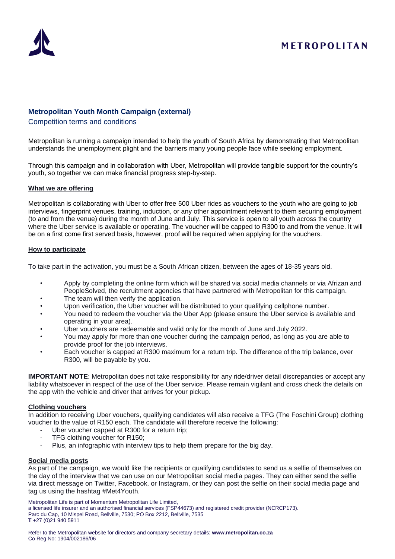

# METROPOLITAN

# **Metropolitan Youth Month Campaign (external)**

## Competition terms and conditions

Metropolitan is running a campaign intended to help the youth of South Africa by demonstrating that Metropolitan understands the unemployment plight and the barriers many young people face while seeking employment.

Through this campaign and in collaboration with Uber, Metropolitan will provide tangible support for the country's youth, so together we can make financial progress step-by-step.

### **What we are offering**

Metropolitan is collaborating with Uber to offer free 500 Uber rides as vouchers to the youth who are going to job interviews, fingerprint venues, training, induction, or any other appointment relevant to them securing employment (to and from the venue) during the month of June and July. This service is open to all youth across the country where the Uber service is available or operating. The voucher will be capped to R300 to and from the venue. It will be on a first come first served basis, however, proof will be required when applying for the vouchers.

## **How to participate**

To take part in the activation, you must be a South African citizen, between the ages of 18-35 years old.

- Apply by completing the online form which will be shared via social media channels or via Afrizan and PeopleSolved, the recruitment agencies that have partnered with Metropolitan for this campaign.
- The team will then verify the application.
- Upon verification, the Uber voucher will be distributed to your qualifying cellphone number.
- You need to redeem the voucher via the Uber App (please ensure the Uber service is available and operating in your area).
- Uber vouchers are redeemable and valid only for the month of June and July 2022.
- You may apply for more than one voucher during the campaign period, as long as you are able to provide proof for the job interviews.
- Each voucher is capped at R300 maximum for a return trip. The difference of the trip balance, over R300, will be payable by you.

**IMPORTANT NOTE**: Metropolitan does not take responsibility for any ride/driver detail discrepancies or accept any liability whatsoever in respect of the use of the Uber service. Please remain vigilant and cross check the details on the app with the vehicle and driver that arrives for your pickup.

### **Clothing vouchers**

In addition to receiving Uber vouchers, qualifying candidates will also receive a TFG (The Foschini Group) clothing voucher to the value of R150 each. The candidate will therefore receive the following:

- Uber voucher capped at R300 for a return trip;
- TFG clothing voucher for R150;
- Plus, an infographic with interview tips to help them prepare for the big day.

### **Social media posts**

As part of the campaign, we would like the recipients or qualifying candidates to send us a selfie of themselves on the day of the interview that we can use on our Metropolitan social media pages. They can either send the selfie via direct message on Twitter, Facebook, or Instagram, or they can post the selfie on their social media page and tag us using the hashtag #Met4Youth.

Metropolitan Life is part of Momentum Metropolitan Life Limited,

a licensed life insurer and an authorised financial services (FSP44673) and registered credit provider (NCRCP173).

Parc du Cap, 10 Mispel Road, Bellville, 7530; PO Box 2212, Bellville, 7535 **T** +27 (0)21 940 5911